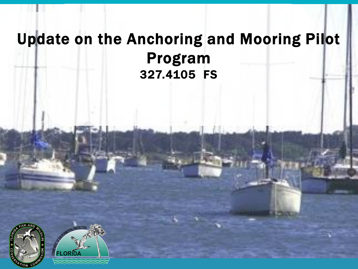#### Update on the Anchoring and Mooring Pilot Program 327.4105 FS



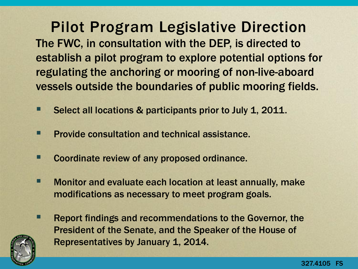The FWC, in consultation with the DEP, is directed to establish a pilot program to explore potential options for regulating the anchoring or mooring of non-live-aboard vessels outside the boundaries of public mooring fields. Pilot Program Legislative Direction

- Select all locations & participants prior to July 1, 2011.
- **Provide consultation and technical assistance.**
- **EXECOORDINATE:** Coordinate review of any proposed ordinance.
- **E** Monitor and evaluate each location at least annually, make modifications as necessary to meet program goals.
- **Report findings and recommendations to the Governor, the** President of the Senate, and the Speaker of the House of Representatives by January 1, 2014.

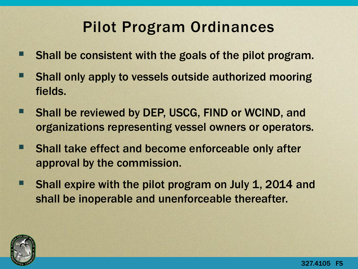#### Pilot Program Ordinances

- Shall be consistent with the goals of the pilot program.
- Shall only apply to vessels outside authorized mooring fields.
- Shall be reviewed by DEP, USCG, FIND or WCIND, and organizations representing vessel owners or operators.
- **Shall take effect and become enforceable only after** approval by the commission.
- **Shall expire with the pilot program on July 1, 2014 and** shall be inoperable and unenforceable thereafter.

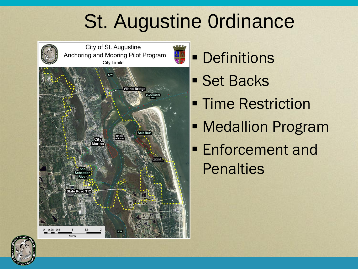# St. Augustine 0rdinance





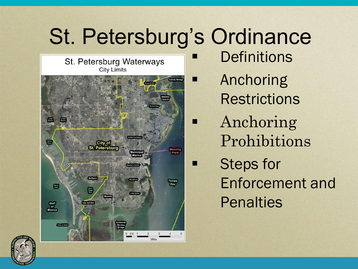# St. Petersburg's Ordinance

St. Petersburg Waterways **City Limits** 



- **Definitions**
- Anchoring **Restrictions**
- **Anchoring** Prohibitions
	- Steps for Enforcement and **Penalties**

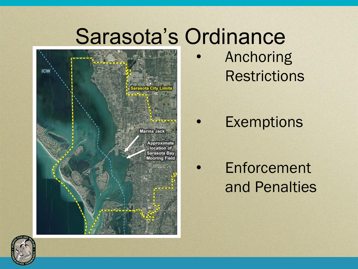# Sarasota's Ordinance



**Anchoring Restrictions** 

**Exemptions** 

**Enforcement** and Penalties

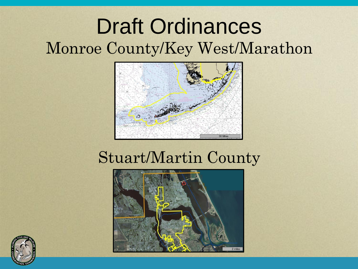### Draft Ordinances Monroe County/Key West/Marathon



#### Stuart/Martin County